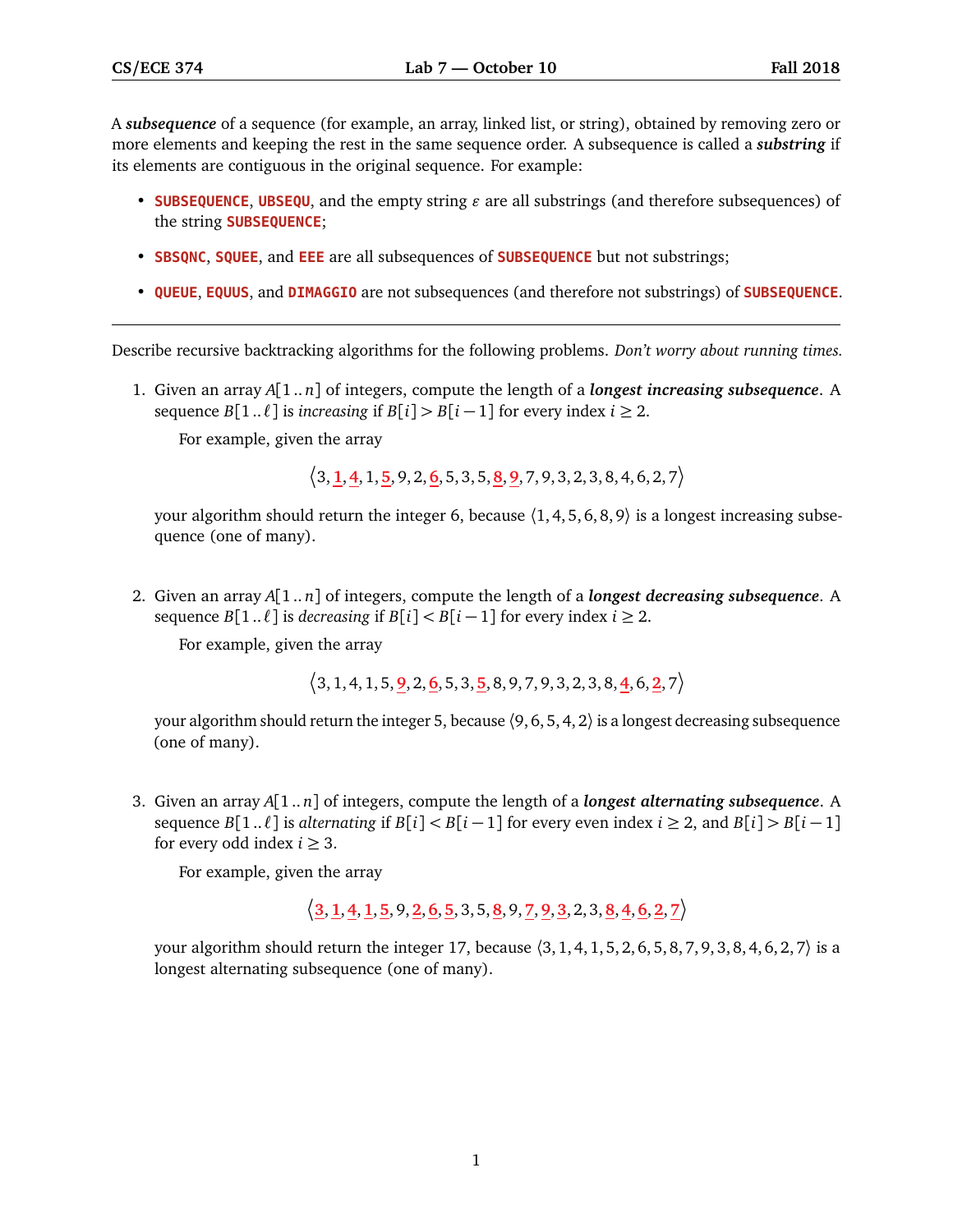A *subsequence* of a sequence (for example, an array, linked list, or string), obtained by removing zero or more elements and keeping the rest in the same sequence order. A subsequence is called a *substring* if its elements are contiguous in the original sequence. For example:

- **SUBSEQUENCE, UBSEQU**, and the empty string  $\varepsilon$  are all substrings (and therefore subsequences) of the string **SUBSEQUENCE**;
- **SBSQNC**, **SQUEE**, and **EEE** are all subsequences of **SUBSEQUENCE** but not substrings;
- **QUEUE**, **EQUUS**, and **DIMAGGIO** are not subsequences (and therefore not substrings) of **SUBSEQUENCE**.

Describe recursive backtracking algorithms for the following problems. *Don't worry about running times.*

1. Given an array *A*[1.. *n*] of integers, compute the length of a *longest increasing subsequence*. A sequence *B*[1.. $\ell$ ] is *increasing* if *B*[*i*] > *B*[*i* − 1] for every index *i* ≥ 2.

For example, given the array

 $\langle 3, \mathbf{1}, \mathbf{4}, 1, \mathbf{5}, 9, 2, \mathbf{6}, 5, 3, 5, \mathbf{8}, \mathbf{9}, 7, 9, 3, 2, 3, 8, 4, 6, 2, 7 \rangle$ 

your algorithm should return the integer 6, because  $(1, 4, 5, 6, 8, 9)$  is a longest increasing subsequence (one of many).

2. Given an array *A*[1.. *n*] of integers, compute the length of a *longest decreasing subsequence*. A sequence *B*[1.. $\ell$ ] is *decreasing* if *B*[ $i$ ] < *B*[ $i$  – 1] for every index  $i \ge 2$ .

For example, given the array

 $\langle 3, 1, 4, 1, 5, 9, 2, 6, 5, 3, 5, 8, 9, 7, 9, 3, 2, 3, 8, 4, 6, 2, 7 \rangle$ 

your algorithm should return the integer 5, because  $(9, 6, 5, 4, 2)$  is a longest decreasing subsequence (one of many).

3. Given an array *A*[1.. *n*] of integers, compute the length of a *longest alternating subsequence*. A sequence  $B[1..\ell]$  is *alternating* if  $B[i] < B[i-1]$  for every even index  $i \geq 2$ , and  $B[i] > B[i-1]$ for every odd index  $i \geq 3$ .

For example, given the array

**3**,**1**,**4**,**1**,**5**, 9,**2**,**6**,**5**, 3, 5,**8**, 9,**7**,**9**,**3**, 2, 3,**8**,**4**,**6**,**2**,**7**

your algorithm should return the integer 17, because  $(3, 1, 4, 1, 5, 2, 6, 5, 8, 7, 9, 3, 8, 4, 6, 2, 7)$  is a longest alternating subsequence (one of many).